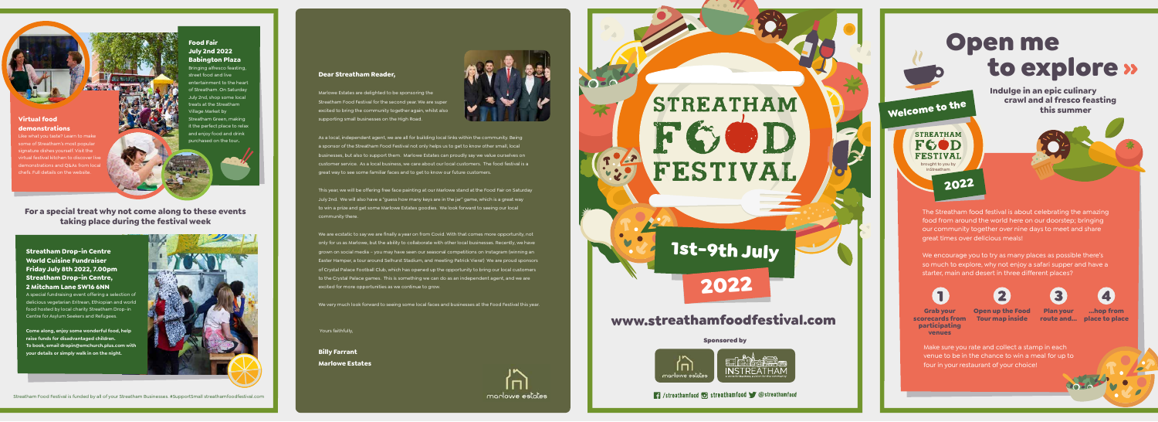

#### Sponsored by



Streathamfood **& Streathamfood Streathamfood** 

Streatham Food Festival is funded by all of your Streatham Businesses. #SupportSmall streathamfoodfestival.com

## **Streatham Drop-in Centre World Cuisine Fundraiser Friday July 8th 2022, 7.00pm Streatham Drop-in Centre, 2 Mitcham Lane SW16 6NN**

A special fundraising event offering a selection of delicious vegetarian Eritrean, Ethiopian and world food hosted by local charity Streatham Drop-in Centre for Asylum Seekers and Refugees.

**Come along, enjoy some wonderful food, help raise funds for disadvantaged children. To book, email dropin@emchurch.plus.com with your details or simply walk in on the night.**



Open me to explore **Indulge in an epic culinary crawl and al fresco feasting** Welcome to the  **this summer STREATHAM** FGOD

**Virtual food demonstrations**

Like what you taste? Learn to make some of Streatham's most popular signature dishes yourself. Visit the rtual festival kitchen to discover liv lemonstrations and Q&As from local chefs. Full details on the website.

**Food Fair**

### **July 2nd 2022 Babington Plaza** Bringing alfresco feasting,

street food and live entertainment to the heart of Streatham. On Saturday July 2nd, shop some local treats at the Streatham Village Market by treatham Green, making it the perfect place to relax and enjoy food and drink purchased on the tour.

> The Streatham food festival is about celebrating the amazing food from around the world here on our doorstep; bringing our community together over nine days to meet and share great times over delicious meals!

> We encourage you to try as many places as possible there's so much to explore, why not enjoy a safari supper and have a starter, main and desert in three different places?





Make sure you rate and collect a stamp in each venue to be in the chance to win a meal for up to four in your restaurant of your choice!

2022

**Grab your scorecards from participating venues**

**Open up the Food Tour map inside**

**Plan your** 



**For a special treat why not come along to these events taking place during the festival week**

brought to you by InStreatham

**FESTIVAL** 

As a local, independent agent, we are all for building local links within the community. Being a sponsor of the Streatham Food Festival not only helps us to get to know other small, local businesses, but also to support them. Marlowe Estates can proudly say we value ourselves on customer service. As a local business, we care about our local customers. The food festival is a great way to see some familiar faces and to get to know our future customers.

This year, we will be offering free face painting at our Marlowe stand at the Food Fair on Saturday July 2nd. We will also have a "guess how many keys are in the jar" game, which is a great way to win a prize and get some Marlowe Estates goodies. We look forward to seeing our local community there.

We are ecstatic to say we are finally a year on from Covid. With that comes more opportunity, not only for us as Marlowe, but the ability to collaborate with other local businesses. Recently, we have grown on social media – you may have seen our seasonal competitions on Instagram (winning an Easter Hamper, a tour around Selhurst Stadium, and meeting Patrick Viera!) We are proud sponsors of Crystal Palace Football Club, which has opened up the opportunity to bring our local customers to the Crystal Palace games. This is something we can do as an independent agent, and we are excited for more opportunities as we continue to grow.

We very much look forward to seeing some local faces and businesses at the Food Festival this year.

Yours faithfully,

**Billy Farrant Marlowe Estates**





Marlowe Estates are delighted to be sponsoring the Streatham Food Festival for the second year. We are super excited to bring the community together again, whilst also supporting small businesses on the High Road.